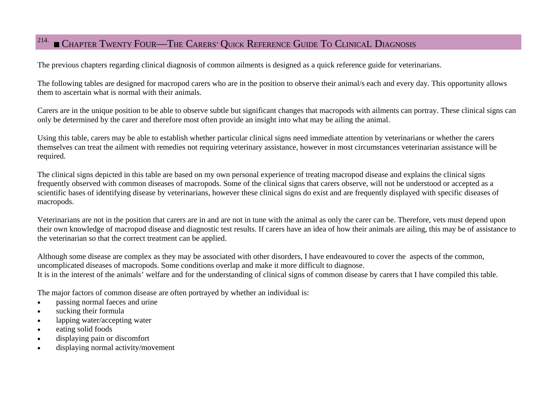## $^{214.}\blacksquare$  Chapter Twenty Four—The Carers' Quick Reference Guide To Clinical Diagnosis

The previous chapters regarding clinical diagnosis of common ailments is designed as a quick reference guide for veterinarians.

The following tables are designed for macropod carers who are in the position to observe their animal/s each and every day. This opportunity allows them to ascertain what is normal with their animals.

Carers are in the unique position to be able to observe subtle but significant changes that macropods with ailments can portray. These clinical signs can only be determined by the carer and therefore most often provide an insight into what may be ailing the animal.

Using this table, carers may be able to establish whether particular clinical signs need immediate attention by veterinarians or whether the carers themselves can treat the ailment with remedies not requiring veterinary assistance, however in most circumstances veterinarian assistance will be required.

The clinical signs depicted in this table are based on my own personal experience of treating macropod disease and explains the clinical signs frequently observed with common diseases of macropods. Some of the clinical signs that carers observe, will not be understood or accepted as a scientific bases of identifying disease by veterinarians, however these clinical signs do exist and are frequently displayed with specific diseases of macropods.

Veterinarians are not in the position that carers are in and are not in tune with the animal as only the carer can be. Therefore, vets must depend upon their own knowledge of macropod disease and diagnostic test results. If carers have an idea of how their animals are ailing, this may be of assistance to the veterinarian so that the correct treatment can be applied.

Although some disease are complex as they may be associated with other disorders, I have endeavoured to cover the aspects of the common, uncomplicated diseases of macropods. Some conditions overlap and make it more difficult to diagnose. It is in the interest of the animals' welfare and for the understanding of clinical signs of common disease by carers that I have compiled this table.

The major factors of common disease are often portrayed by whether an individual is:

- $\bullet$ passing normal faeces and urine
- $\bullet$ sucking their formula
- $\bullet$ lapping water/accepting water
- $\bullet$ eating solid foods
- $\bullet$ displaying pain or discomfort
- $\bullet$ displaying normal activity/movement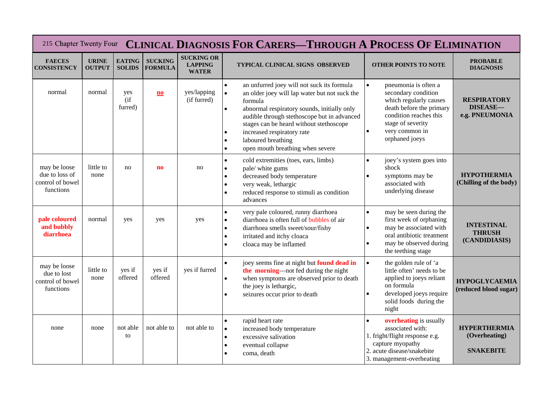|                                                                 | 215 Chapter Twenty Four CLINICAL DIAGNOSIS FOR CARERS—THROUGH A PROCESS OF ELIMINATION |                                |                                  |                                                     |                                                                                                                                                                                                                                                                                                                                                                                                                       |                                                                                                                                                                                                                |                                                          |  |  |  |  |  |
|-----------------------------------------------------------------|----------------------------------------------------------------------------------------|--------------------------------|----------------------------------|-----------------------------------------------------|-----------------------------------------------------------------------------------------------------------------------------------------------------------------------------------------------------------------------------------------------------------------------------------------------------------------------------------------------------------------------------------------------------------------------|----------------------------------------------------------------------------------------------------------------------------------------------------------------------------------------------------------------|----------------------------------------------------------|--|--|--|--|--|
| <b>FAECES</b><br><b>CONSISTENCY</b>                             | <b>URINE</b><br><b>OUTPUT</b>                                                          | <b>EATING</b><br><b>SOLIDS</b> | <b>SUCKING</b><br><b>FORMULA</b> | <b>SUCKING OR</b><br><b>LAPPING</b><br><b>WATER</b> | <b>TYPICAL CLINICAL SIGNS OBSERVED</b>                                                                                                                                                                                                                                                                                                                                                                                | <b>OTHER POINTS TO NOTE</b>                                                                                                                                                                                    | <b>PROBABLE</b><br><b>DIAGNOSIS</b>                      |  |  |  |  |  |
| normal                                                          | normal                                                                                 | yes<br>$($ if<br>furred)       | $\mathbf{n}\mathbf{o}$           | yes/lapping<br>(if furred)                          | an unfurred joey will not suck its formula<br>$\bullet$<br>an older joey will lap water but not suck the<br>$\bullet$<br>formula<br>abnormal respiratory sounds, initially only<br>$\bullet$<br>audible through stethoscope but in advanced<br>stages can be heard without stethoscope<br>increased respiratory rate<br>$\bullet$<br>laboured breathing<br>$\bullet$<br>open mouth breathing when severe<br>$\bullet$ | pneumonia is often a<br>$\bullet$<br>secondary condition<br>which regularly causes<br>death before the primary<br>condition reaches this<br>stage of severity<br>very common in<br>$\bullet$<br>orphaned joeys | <b>RESPIRATORY</b><br><b>DISEASE-</b><br>e.g. PNEUMONIA  |  |  |  |  |  |
| may be loose<br>due to loss of<br>control of bowel<br>functions | little to<br>none                                                                      | no                             | $\mathbf{n}$                     | no                                                  | cold extremities (toes, ears, limbs)<br>$\bullet$<br>pale/ white gums<br>decreased body temperature<br>$\bullet$<br>very weak, lethargic<br>$\bullet$<br>reduced response to stimuli as condition<br>$\bullet$<br>advances                                                                                                                                                                                            | joey's system goes into<br>$\bullet$<br>shock<br>symptoms may be<br>$\bullet$<br>associated with<br>underlying disease                                                                                         | <b>HYPOTHERMIA</b><br>(Chilling of the body)             |  |  |  |  |  |
| pale coloured<br>and bubbly<br>diarrhoea                        | normal                                                                                 | yes                            | yes                              | yes                                                 | very pale coloured, runny diarrhoea<br>$\bullet$<br>diarrhoea is often full of bubbles of air<br>$\bullet$<br>diarrhoea smells sweet/sour/fishy<br>$\bullet$<br>irritated and itchy cloaca<br>$\bullet$<br>cloaca may be inflamed                                                                                                                                                                                     | may be seen during the<br>$\bullet$<br>first week of orphaning<br>may be associated with<br>$\bullet$<br>oral antibiotic treatment<br>may be observed during<br>$\bullet$<br>the teething stage                | <b>INTESTINAL</b><br><b>THRUSH</b><br>(CANDIDIASIS)      |  |  |  |  |  |
| may be loose<br>due to lost<br>control of bowel<br>functions    | little to<br>none                                                                      | yes if<br>offered              | yes if<br>offered                | yes if furred                                       | joey seems fine at night but found dead in<br>$\bullet$<br>the morning—not fed during the night<br>when symptoms are observed prior to death<br>$\bullet$<br>the joey is lethargic,<br>seizures occur prior to death<br>$\bullet$                                                                                                                                                                                     | $\bullet$<br>the golden rule of 'a<br>little often' needs to be<br>applied to joeys reliant<br>on formula<br>developed joeys require<br>$\bullet$<br>solid foods during the<br>night                           | <b>HYPOGLYCAEMIA</b><br>(reduced blood sugar)            |  |  |  |  |  |
| none                                                            | none                                                                                   | not able<br>to                 | not able to                      | not able to                                         | rapid heart rate<br>$\bullet$<br>increased body temperature<br>$\bullet$<br>excessive salivation<br>$\bullet$<br>eventual collapse<br>$\bullet$<br>coma, death                                                                                                                                                                                                                                                        | <b>overheating</b> is usually<br>$\bullet$<br>associated with:<br>1. fright/flight response e.g.<br>capture myopathy<br>2. acute disease/snakebite<br>3. management-overheating                                | <b>HYPERTHERMIA</b><br>(Overheating)<br><b>SNAKEBITE</b> |  |  |  |  |  |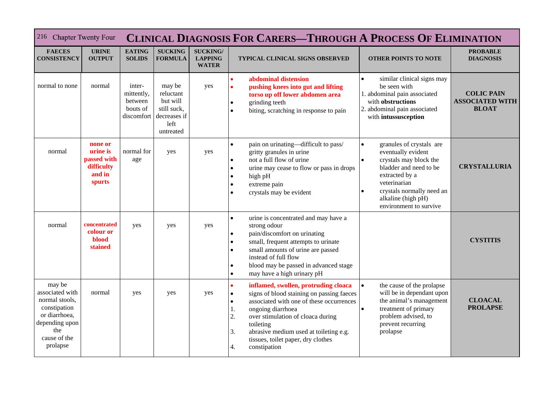| 216 Chapter Twenty Four                                                                                                           |                                                                      | <b>CLINICAL DIAGNOSIS FOR CARERS-THROUGH A PROCESS OF ELIMINATION</b> |                                                                                     |                                                   |                                                                                                                                                                                                                                                                                                                                                                     |                                                                                                                                                                                                                                                          |                                                             |  |  |
|-----------------------------------------------------------------------------------------------------------------------------------|----------------------------------------------------------------------|-----------------------------------------------------------------------|-------------------------------------------------------------------------------------|---------------------------------------------------|---------------------------------------------------------------------------------------------------------------------------------------------------------------------------------------------------------------------------------------------------------------------------------------------------------------------------------------------------------------------|----------------------------------------------------------------------------------------------------------------------------------------------------------------------------------------------------------------------------------------------------------|-------------------------------------------------------------|--|--|
| <b>FAECES</b><br><b>CONSISTENCY</b>                                                                                               | <b>URINE</b><br><b>OUTPUT</b>                                        | <b>EATING</b><br><b>SOLIDS</b>                                        | <b>SUCKING</b><br><b>FORMULA</b>                                                    | <b>SUCKING/</b><br><b>LAPPING</b><br><b>WATER</b> | TYPICAL CLINICAL SIGNS OBSERVED                                                                                                                                                                                                                                                                                                                                     | <b>OTHER POINTS TO NOTE</b>                                                                                                                                                                                                                              | <b>PROBABLE</b><br><b>DIAGNOSIS</b>                         |  |  |
| normal to none                                                                                                                    | normal                                                               | inter-<br>mittently,<br>between<br>bouts of<br>discomfort             | may be<br>reluctant<br>but will<br>still suck,<br>decreases if<br>left<br>untreated | yes                                               | abdominal distension<br>$\bullet$<br>pushing knees into gut and lifting<br>$\bullet$<br>torso up off lower abdomen area<br>grinding teeth<br>$\bullet$<br>biting, scratching in response to pain<br>$\bullet$                                                                                                                                                       | similar clinical signs may<br>$\bullet$<br>be seen with<br>1. abdominal pain associated<br>with obstructions<br>2. abdominal pain associated<br>with intussusception                                                                                     | <b>COLIC PAIN</b><br><b>ASSOCIATED WITH</b><br><b>BLOAT</b> |  |  |
| normal                                                                                                                            | none or<br>urine is<br>passed with<br>difficulty<br>and in<br>spurts | normal for<br>age                                                     | yes                                                                                 | yes                                               | pain on urinating-difficult to pass/<br>$\bullet$<br>gritty granules in urine<br>not a full flow of urine<br>$\bullet$<br>urine may cease to flow or pass in drops<br>$\bullet$<br>high pH<br>$\bullet$<br>extreme pain<br>$\bullet$<br>crystals may be evident<br>$\bullet$                                                                                        | granules of crystals are<br>$\bullet$<br>eventually evident<br>crystals may block the<br>$\bullet$<br>bladder and need to be<br>extracted by a<br>veterinarian<br>crystals normally need an<br>$\bullet$<br>alkaline (high pH)<br>environment to survive | <b>CRYSTALLURIA</b>                                         |  |  |
| normal                                                                                                                            | concentrated<br>colour or<br><b>blood</b><br>stained                 | yes                                                                   | yes                                                                                 | yes                                               | urine is concentrated and may have a<br>$\bullet$<br>strong odour<br>pain/discomfort on urinating<br>$\bullet$<br>small, frequent attempts to urinate<br>$\bullet$<br>small amounts of urine are passed<br>$\bullet$<br>instead of full flow<br>blood may be passed in advanced stage<br>$\bullet$<br>may have a high urinary pH<br>$\bullet$                       |                                                                                                                                                                                                                                                          | <b>CYSTITIS</b>                                             |  |  |
| may be<br>associated with<br>normal stools,<br>constipation<br>or diarrhoea,<br>depending upon<br>the<br>cause of the<br>prolapse | normal                                                               | yes                                                                   | yes                                                                                 | yes                                               | inflamed, swollen, protruding cloaca<br>$\bullet$<br>signs of blood staining on passing faeces<br>$\bullet$<br>associated with one of these occurrences<br>$\bullet$<br>ongoing diarrhoea<br>1.<br>2.<br>over stimulation of cloaca during<br>toileting<br>abrasive medium used at toileting e.g.<br>3.<br>tissues, toilet paper, dry clothes<br>4.<br>constipation | the cause of the prolapse<br>$\bullet$<br>will be in dependant upon<br>the animal's management<br>treatment of primary<br>$\bullet$<br>problem advised, to<br>prevent recurring<br>prolapse                                                              | <b>CLOACAL</b><br><b>PROLAPSE</b>                           |  |  |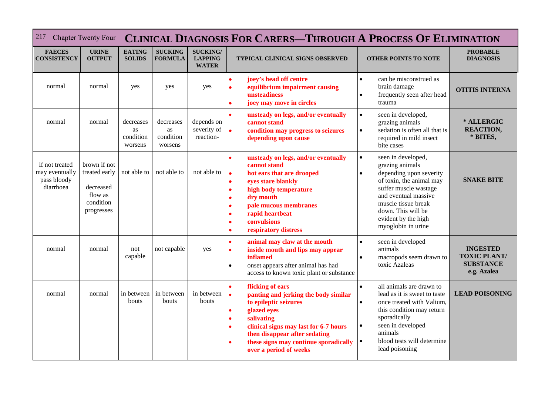| 217<br><b>Chapter Twenty Four</b>                            |                                                                                  | <b>CLINICAL DIAGNOSIS FOR CARERS-THROUGH A PROCESS OF ELIMINATION</b> |                                         |                                                   |                                                                                                                                                                                                                                                                                     |                                                                                                                                                                                                                                                                        |                                                                           |  |  |
|--------------------------------------------------------------|----------------------------------------------------------------------------------|-----------------------------------------------------------------------|-----------------------------------------|---------------------------------------------------|-------------------------------------------------------------------------------------------------------------------------------------------------------------------------------------------------------------------------------------------------------------------------------------|------------------------------------------------------------------------------------------------------------------------------------------------------------------------------------------------------------------------------------------------------------------------|---------------------------------------------------------------------------|--|--|
| <b>FAECES</b><br><b>CONSISTENCY</b>                          | <b>URINE</b><br><b>OUTPUT</b>                                                    | <b>EATING</b><br><b>SOLIDS</b>                                        | <b>SUCKING</b><br><b>FORMULA</b>        | <b>SUCKING/</b><br><b>LAPPING</b><br><b>WATER</b> | TYPICAL CLINICAL SIGNS OBSERVED                                                                                                                                                                                                                                                     | <b>OTHER POINTS TO NOTE</b>                                                                                                                                                                                                                                            | <b>PROBABLE</b><br><b>DIAGNOSIS</b>                                       |  |  |
| normal                                                       | normal                                                                           | yes                                                                   | yes                                     | yes                                               | joey's head off centre<br>$\bullet$<br>equilibrium impairment causing<br>$\bullet$<br>unsteadiness<br>joey may move in circles                                                                                                                                                      | can be misconstrued as<br>$\bullet$<br>brain damage<br>frequently seen after head<br>$\bullet$<br>trauma                                                                                                                                                               | <b>OTITIS INTERNA</b>                                                     |  |  |
| normal                                                       | normal                                                                           | decreases<br>as<br>condition<br>worsens                               | decreases<br>as<br>condition<br>worsens | depends on<br>severity of<br>reaction-            | unsteady on legs, and/or eventually<br>$\bullet$<br>cannot stand<br>$\bullet$<br>condition may progress to seizures<br>depending upon cause                                                                                                                                         | seen in developed,<br>$\bullet$<br>grazing animals<br>sedation is often all that is<br>$\bullet$<br>required in mild insect<br>bite cases                                                                                                                              | * ALLERGIC<br><b>REACTION,</b><br>* BITES,                                |  |  |
| if not treated<br>may eventually<br>pass bloody<br>diarrhoea | brown if not<br>treated early<br>decreased<br>flow as<br>condition<br>progresses | not able to                                                           | not able to                             | not able to                                       | unsteady on legs, and/or eventually<br>cannot stand<br>hot ears that are drooped<br>$\bullet$<br>eyes stare blankly<br>$\bullet$<br>high body temperature<br>$\bullet$<br>dry mouth<br>pale mucous membranes<br>rapid heartbeat<br>convulsions<br>respiratory distress<br>$\bullet$ | seen in developed,<br>$\bullet$<br>grazing animals<br>depending upon severity<br>$\bullet$<br>of toxin, the animal may<br>suffer muscle wastage<br>and eventual massive<br>muscle tissue break<br>down. This will be<br>evident by the high<br>myoglobin in urine      | <b>SNAKE BITE</b>                                                         |  |  |
| normal                                                       | normal                                                                           | not<br>capable                                                        | not capable                             | yes                                               | animal may claw at the mouth<br>$\bullet$<br>inside mouth and lips may appear<br>$\bullet$<br>inflamed<br>onset appears after animal has had<br>$\bullet$<br>access to known toxic plant or substance                                                                               | seen in developed<br>$\bullet$<br>animals<br>macropods seem drawn to<br>$\bullet$<br>toxic Azaleas                                                                                                                                                                     | <b>INGESTED</b><br><b>TOXIC PLANT/</b><br><b>SUBSTANCE</b><br>e.g. Azalea |  |  |
| normal                                                       | normal                                                                           | in between<br>bouts                                                   | in between<br>bouts                     | in between<br>bouts                               | flicking of ears<br>panting and jerking the body similar<br>$\bullet$<br>to epileptic seizures<br>glazed eyes<br>salivating<br>clinical signs may last for 6-7 hours<br>then disappear after sedating<br>these signs may continue sporadically<br>over a period of weeks            | all animals are drawn to<br>$\bullet$<br>lead as it is sweet to taste<br>once treated with Valium,<br>$\bullet$<br>this condition may return<br>sporadically<br>seen in developed<br>$\bullet$<br>animals<br>blood tests will determine<br>$\bullet$<br>lead poisoning | <b>LEAD POISONING</b>                                                     |  |  |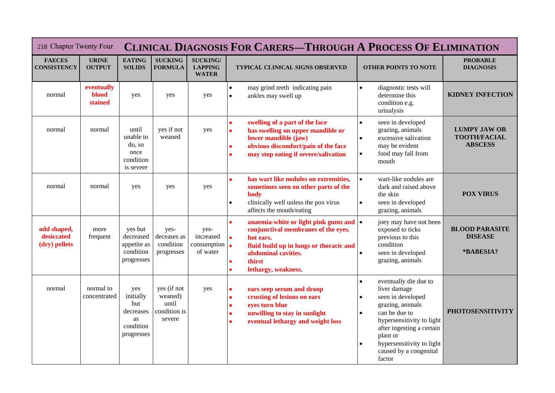| 218 Chapter Twenty Four                    |                                       |                                                                       | <b>CLINICAL DIAGNOSIS FOR CARERS-THROUGH A PROCESS OF ELIMINATION</b> |                                                   |                                                                                                                                                                                                                                                                        |                                                                                                                                                                                                                                                                                            |                                                              |  |  |  |
|--------------------------------------------|---------------------------------------|-----------------------------------------------------------------------|-----------------------------------------------------------------------|---------------------------------------------------|------------------------------------------------------------------------------------------------------------------------------------------------------------------------------------------------------------------------------------------------------------------------|--------------------------------------------------------------------------------------------------------------------------------------------------------------------------------------------------------------------------------------------------------------------------------------------|--------------------------------------------------------------|--|--|--|
| <b>FAECES</b><br><b>CONSISTENCY</b>        | <b>URINE</b><br><b>OUTPUT</b>         | <b>EATING</b><br><b>SOLIDS</b>                                        | <b>SUCKING</b><br><b>FORMULA</b>                                      | <b>SUCKING/</b><br><b>LAPPING</b><br><b>WATER</b> | <b>TYPICAL CLINICAL SIGNS OBSERVED</b>                                                                                                                                                                                                                                 | <b>OTHER POINTS TO NOTE</b>                                                                                                                                                                                                                                                                | <b>PROBABLE</b><br><b>DIAGNOSIS</b>                          |  |  |  |
| normal                                     | eventually<br><b>blood</b><br>stained | yes                                                                   | yes                                                                   | yes                                               | may grind teeth indicating pain<br>$\bullet$<br>ankles may swell up<br>$\bullet$                                                                                                                                                                                       | diagnostic tests will<br>$\bullet$<br>determine this<br>condition e.g.<br>urinalysis                                                                                                                                                                                                       | <b>KIDNEY INFECTION</b>                                      |  |  |  |
| normal                                     | normal                                | until<br>unable to<br>do, so<br>once<br>condition<br>is severe        | yes if not<br>weaned                                                  | yes                                               | swelling of a part of the face<br>$\bullet$<br>has swelling on upper mandible or<br>$\bullet$<br>lower mandible (jaw)<br>obvious discomfort/pain of the face<br>$\bullet$<br>may stop eating if severe/salivation<br>$\bullet$                                         | seen in developed<br>$\bullet$<br>grazing, animals<br>excessive salivation<br>$\bullet$<br>may be evident<br>food may fall from<br>$\bullet$<br>mouth                                                                                                                                      | <b>LUMPY JAW OR</b><br><b>TOOTH/FACIAL</b><br><b>ABSCESS</b> |  |  |  |
| normal                                     | normal                                | yes                                                                   | yes                                                                   | yes                                               | has wart like nodules on extremities,<br>$\bullet$<br>sometimes seen on other parts of the<br><b>body</b><br>clinically well unless the pox virus<br>$\bullet$<br>affects the mouth/eating                                                                             | wart-like nodules are<br>$\bullet$<br>dark and raised above<br>the skin<br>seen in developed<br>$\bullet$<br>grazing, animals                                                                                                                                                              | <b>POX VIRUS</b>                                             |  |  |  |
| odd shaped,<br>desiccated<br>(dry) pellets | more<br>frequent                      | yes but<br>decreased<br>appetite as<br>condition<br>progresses        | yes-<br>deceases as<br>condition<br>progresses                        | yes-<br>increased<br>consumption<br>of water      | anaemia-white or light pink gums and $\bullet$<br>$\bullet$<br>conjunctival membranes of the eyes.<br>$\bullet$<br>hot ears.<br>$\bullet$<br>fluid build up in lungs or thoracic and<br>abdominal cavities.<br>thirst<br>$\bullet$<br>lethargy, weakness.<br>$\bullet$ | joey may have not been<br>exposed to ticks<br>previous to this<br>condition<br>seen in developed<br>grazing, animals                                                                                                                                                                       | <b>BLOOD PARASITE</b><br><b>DISEASE</b><br>*BABESIA?         |  |  |  |
| normal                                     | normal to<br>concentrated             | yes<br>initially<br>but<br>decreases<br>as<br>condition<br>progresses | yes (if not<br>weaned)<br>until<br>condition is<br>severe             | yes                                               | ears seep serum and droop<br>$\bullet$<br>crusting of lesions on ears<br>$\bullet$<br>eyes turn blue<br>$\bullet$<br>unwilling to stay in sunlight<br>$\bullet$<br>eventual lethargy and weight loss<br>$\bullet$                                                      | eventually die due to<br>$\bullet$<br>liver damage<br>seen in developed<br>$\bullet$<br>grazing, animals<br>can be due to<br>$\bullet$<br>hypersensitivity to light<br>after ingesting a certain<br>plant or<br>hypersensitivity to light<br>$\bullet$<br>caused by a congenital<br>factor | <b>PHOTOSENSITIVITY</b>                                      |  |  |  |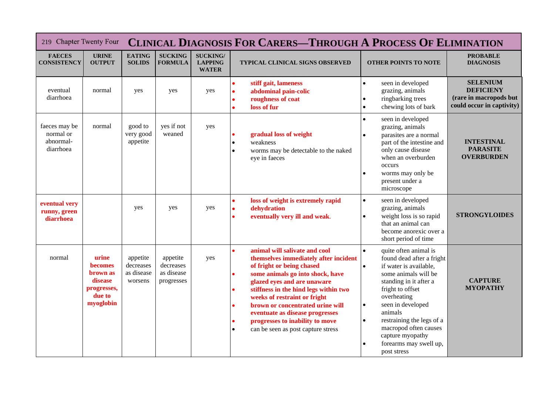| 219 Chapter Twenty Four                              |                                                                                      |                                                | <b>CLINICAL DIAGNOSIS FOR CARERS-THROUGH A PROCESS OF ELIMINATION</b> |                                                   |                                                                                                                                                                                                                                                                                                                                                                                                                                                                  |                                                                                                                                                                                                                                                                                                                                                                          |                                                                                            |  |  |
|------------------------------------------------------|--------------------------------------------------------------------------------------|------------------------------------------------|-----------------------------------------------------------------------|---------------------------------------------------|------------------------------------------------------------------------------------------------------------------------------------------------------------------------------------------------------------------------------------------------------------------------------------------------------------------------------------------------------------------------------------------------------------------------------------------------------------------|--------------------------------------------------------------------------------------------------------------------------------------------------------------------------------------------------------------------------------------------------------------------------------------------------------------------------------------------------------------------------|--------------------------------------------------------------------------------------------|--|--|
| <b>FAECES</b><br><b>CONSISTENCY</b>                  | <b>URINE</b><br><b>OUTPUT</b>                                                        | <b>EATING</b><br><b>SOLIDS</b>                 | <b>SUCKING</b><br><b>FORMULA</b>                                      | <b>SUCKING/</b><br><b>LAPPING</b><br><b>WATER</b> | TYPICAL CLINICAL SIGNS OBSERVED                                                                                                                                                                                                                                                                                                                                                                                                                                  | <b>OTHER POINTS TO NOTE</b>                                                                                                                                                                                                                                                                                                                                              | <b>PROBABLE</b><br><b>DIAGNOSIS</b>                                                        |  |  |
| eventual<br>diarrhoea                                | normal                                                                               | yes                                            | yes                                                                   | yes                                               | stiff gait, lameness<br>$\bullet$<br>abdominal pain-colic<br>$\bullet$<br>roughness of coat<br>loss of fur<br>ó                                                                                                                                                                                                                                                                                                                                                  | seen in developed<br>$\bullet$<br>grazing, animals<br>ringbarking trees<br>chewing lots of bark<br>$\bullet$                                                                                                                                                                                                                                                             | <b>SELENIUM</b><br><b>DEFICIENY</b><br>(rare in macropods but<br>could occur in captivity) |  |  |
| faeces may be<br>normal or<br>abnormal-<br>diarrhoea | normal                                                                               | good to<br>very good<br>appetite               | yes if not<br>weaned                                                  | yes                                               | gradual loss of weight<br>$\bullet$<br>weakness<br>worms may be detectable to the naked<br>eye in faeces                                                                                                                                                                                                                                                                                                                                                         | seen in developed<br>$\bullet$<br>grazing, animals<br>parasites are a normal<br>part of the intestine and<br>only cause disease<br>when an overburden<br>occurs<br>worms may only be<br>present under a<br>microscope                                                                                                                                                    | <b>INTESTINAL</b><br><b>PARASITE</b><br><b>OVERBURDEN</b>                                  |  |  |
| eventual very<br>runny, green<br>diarrhoea           |                                                                                      | yes                                            | yes                                                                   | yes                                               | loss of weight is extremely rapid<br>$\bullet$<br>dehydration<br>$\bullet$<br>eventually very ill and weak.<br>$\bullet$                                                                                                                                                                                                                                                                                                                                         | seen in developed<br>$\bullet$<br>grazing, animals<br>weight loss is so rapid<br>that an animal can<br>become anorexic over a<br>short period of time                                                                                                                                                                                                                    | <b>STRONGYLOIDES</b>                                                                       |  |  |
| normal                                               | urine<br><b>becomes</b><br>brown as<br>disease<br>progresses,<br>due to<br>myoglobin | appetite<br>decreases<br>as disease<br>worsens | appetite<br>decreases<br>as disease<br>progresses                     | yes                                               | animal will salivate and cool<br>$\bullet$<br>themselves immediately after incident<br>of fright or being chased<br>some animals go into shock, have<br>$\bullet$<br>glazed eyes and are unaware<br>stiffness in the hind legs within two<br>$\bullet$<br>weeks of restraint or fright<br>brown or concentrated urine will<br>$\bullet$<br>eventuate as disease progresses<br>progresses to inability to move<br>can be seen as post capture stress<br>$\bullet$ | quite often animal is<br>$\bullet$<br>found dead after a fright<br>if water is available,<br>$\bullet$<br>some animals will be<br>standing in it after a<br>fright to offset<br>overheating<br>seen in developed<br>$\bullet$<br>animals<br>restraining the legs of a<br>$\bullet$<br>macropod often causes<br>capture myopathy<br>forearms may swell up,<br>post stress | <b>CAPTURE</b><br><b>MYOPATHY</b>                                                          |  |  |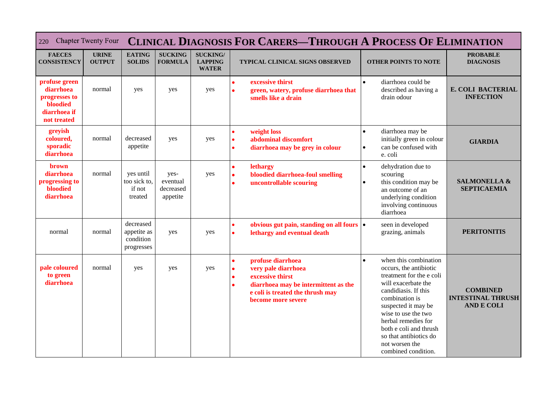| <b>Chapter Twenty Four</b><br>220                                                      |                               |                                                     |                                           |                                                   | <b>CLINICAL DIAGNOSIS FOR CARERS-THROUGH A PROCESS OF ELIMINATION</b>                                                                                                                                              |                                                                                                                                                                                                                                                                                                                             |                                                                  |
|----------------------------------------------------------------------------------------|-------------------------------|-----------------------------------------------------|-------------------------------------------|---------------------------------------------------|--------------------------------------------------------------------------------------------------------------------------------------------------------------------------------------------------------------------|-----------------------------------------------------------------------------------------------------------------------------------------------------------------------------------------------------------------------------------------------------------------------------------------------------------------------------|------------------------------------------------------------------|
| <b>FAECES</b><br><b>CONSISTENCY</b>                                                    | <b>URINE</b><br><b>OUTPUT</b> | <b>EATING</b><br><b>SOLIDS</b>                      | <b>SUCKING</b><br><b>FORMULA</b>          | <b>SUCKING/</b><br><b>LAPPING</b><br><b>WATER</b> | TYPICAL CLINICAL SIGNS OBSERVED                                                                                                                                                                                    | <b>OTHER POINTS TO NOTE</b>                                                                                                                                                                                                                                                                                                 | <b>PROBABLE</b><br><b>DIAGNOSIS</b>                              |
| profuse green<br>diarrhoea<br>progresses to<br>bloodied<br>diarrhoea if<br>not treated | normal                        | yes                                                 | yes                                       | yes                                               | excessive thirst<br>$\bullet$<br>green, watery, profuse diarrhoea that<br>$\bullet$<br>smells like a drain                                                                                                         | diarrhoea could be<br>$\bullet$<br>described as having a<br>drain odour                                                                                                                                                                                                                                                     | E. COLI BACTERIAL<br><b>INFECTION</b>                            |
| greyish<br>coloured,<br>sporadic<br>diarrhoea                                          | normal                        | decreased<br>appetite                               | yes                                       | yes                                               | weight loss<br>$\bullet$<br>abdominal discomfort<br>$\bullet$<br>diarrhoea may be grey in colour<br>$\bullet$                                                                                                      | diarrhoea may be<br>$\bullet$<br>initially green in colour<br>can be confused with<br>$\bullet$<br>e. coli                                                                                                                                                                                                                  | <b>GIARDIA</b>                                                   |
| <b>brown</b><br>diarrhoea<br>progressing to<br>bloodied<br>diarrhoea                   | normal                        | yes until<br>too sick to,<br>if not<br>treated      | yes-<br>eventual<br>decreased<br>appetite | yes                                               | lethargy<br>$\bullet$<br>bloodied diarrhoea-foul smelling<br>$\bullet$<br>uncontrollable scouring<br>$\bullet$                                                                                                     | dehydration due to<br>$\bullet$<br>scouring<br>this condition may be<br>$\bullet$<br>an outcome of an<br>underlying condition<br>involving continuous<br>diarrhoea                                                                                                                                                          | <b>SALMONELLA &amp;</b><br><b>SEPTICAEMIA</b>                    |
| normal                                                                                 | normal                        | decreased<br>appetite as<br>condition<br>progresses | yes                                       | yes                                               | obvious gut pain, standing on all fours •<br>$\bullet$<br>lethargy and eventual death<br>$\bullet$                                                                                                                 | seen in developed<br>grazing, animals                                                                                                                                                                                                                                                                                       | <b>PERITONITIS</b>                                               |
| pale coloured<br>to green<br>diarrhoea                                                 | normal                        | yes                                                 | yes                                       | yes                                               | profuse diarrhoea<br>$\bullet$<br>very pale diarrhoea<br>$\bullet$<br>excessive thirst<br>$\bullet$<br>diarrhoea may be intermittent as the<br>$\bullet$<br>e coli is treated the thrush may<br>become more severe | when this combination<br>$\bullet$<br>occurs, the antibiotic<br>treatment for the e coli<br>will exacerbate the<br>candidiasis. If this<br>combination is<br>suspected it may be<br>wise to use the two<br>herbal remedies for<br>both e coli and thrush<br>so that antibiotics do<br>not worsen the<br>combined condition. | <b>COMBINED</b><br><b>INTESTINAL THRUSH</b><br><b>AND E COLI</b> |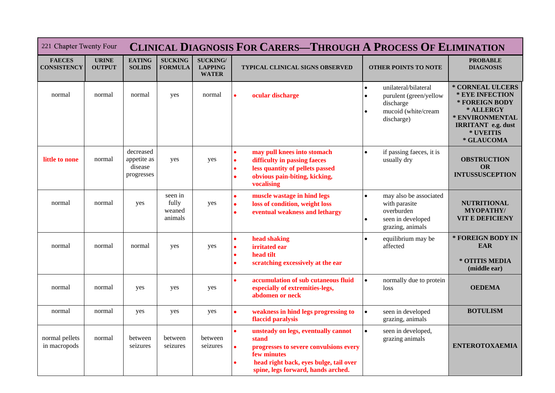| 221 Chapter Twenty Four             |                               | <b>CLINICAL DIAGNOSIS FOR CARERS-THROUGH A PROCESS OF ELIMINATION</b> |                                       |                                                   |                                                                                                                                                                                                                              |                                                                                                               |                                                                                                                                               |  |  |
|-------------------------------------|-------------------------------|-----------------------------------------------------------------------|---------------------------------------|---------------------------------------------------|------------------------------------------------------------------------------------------------------------------------------------------------------------------------------------------------------------------------------|---------------------------------------------------------------------------------------------------------------|-----------------------------------------------------------------------------------------------------------------------------------------------|--|--|
| <b>FAECES</b><br><b>CONSISTENCY</b> | <b>URINE</b><br><b>OUTPUT</b> | <b>EATING</b><br><b>SOLIDS</b>                                        | <b>SUCKING</b><br><b>FORMULA</b>      | <b>SUCKING/</b><br><b>LAPPING</b><br><b>WATER</b> | TYPICAL CLINICAL SIGNS OBSERVED                                                                                                                                                                                              | <b>OTHER POINTS TO NOTE</b>                                                                                   | <b>PROBABLE</b><br><b>DIAGNOSIS</b>                                                                                                           |  |  |
| normal                              | normal                        | normal                                                                | yes                                   | normal                                            | ocular discharge<br>$\bullet$                                                                                                                                                                                                | unilateral/bilateral<br>$\bullet$<br>purulent (green/yellow<br>discharge<br>mucoid (white/cream<br>discharge) | * CORNEAL ULCERS<br>* EYE INFECTION<br>* FOREIGN BODY<br>* ALLERGY<br>* ENVIRONMENTAL<br><b>IRRITANT</b> e.g. dust<br>* UVEITIS<br>* GLAUCOMA |  |  |
| little to none                      | normal                        | decreased<br>appetite as<br>disease<br>progresses                     | yes                                   | yes                                               | may pull knees into stomach<br>$\bullet$<br>difficulty in passing faeces<br>$\bullet$<br>less quantity of pellets passed<br>$\bullet$<br>obvious pain-biting, kicking,<br>٠<br>vocalising                                    | if passing faeces, it is<br>$\bullet$<br>usually dry                                                          | <b>OBSTRUCTION</b><br><b>OR</b><br><b>INTUSSUSCEPTION</b>                                                                                     |  |  |
| normal                              | normal                        | yes                                                                   | seen in<br>fully<br>weaned<br>animals | yes                                               | muscle wastage in hind legs<br>$\bullet$<br>loss of condition, weight loss<br>$\bullet$<br>eventual weakness and lethargy<br>$\bullet$                                                                                       | may also be associated<br>with parasite<br>overburden<br>seen in developed<br>grazing, animals                | <b>NUTRITIONAL</b><br><b>MYOPATHY/</b><br><b>VIT E DEFICIENY</b>                                                                              |  |  |
| normal                              | normal                        | normal                                                                | yes                                   | yes                                               | head shaking<br>$\bullet$<br>irritated ear<br>$\bullet$<br>head tilt<br>$\bullet$<br>scratching excessively at the ear<br>$\bullet$                                                                                          | equilibrium may be<br>$\bullet$<br>affected                                                                   | * FOREIGN BODY IN<br><b>EAR</b><br>* OTITIS MEDIA<br>(middle ear)                                                                             |  |  |
| normal                              | normal                        | yes                                                                   | yes                                   | yes                                               | accumulation of sub cutaneous fluid<br>$\bullet$<br>especially of extremities-legs,<br>abdomen or neck                                                                                                                       | normally due to protein<br>$\bullet$<br>loss                                                                  | <b>OEDEMA</b>                                                                                                                                 |  |  |
| normal                              | normal                        | yes                                                                   | yes                                   | yes                                               | $\bullet$<br>weakness in hind legs progressing to<br>flaccid paralysis                                                                                                                                                       | $\bullet$<br>seen in developed<br>grazing, animals                                                            | <b>BOTULISM</b>                                                                                                                               |  |  |
| normal pellets<br>in macropods      | normal                        | between<br>seizures                                                   | between<br>seizures                   | between<br>seizures                               | unsteady on legs, eventually cannot<br>$\bullet$<br>stand<br>progresses to severe convulsions every<br>$\bullet$<br>few minutes<br>head right back, eyes bulge, tail over<br>$\bullet$<br>spine, legs forward, hands arched. | seen in developed,<br>grazing animals                                                                         | <b>ENTEROTOXAEMIA</b>                                                                                                                         |  |  |